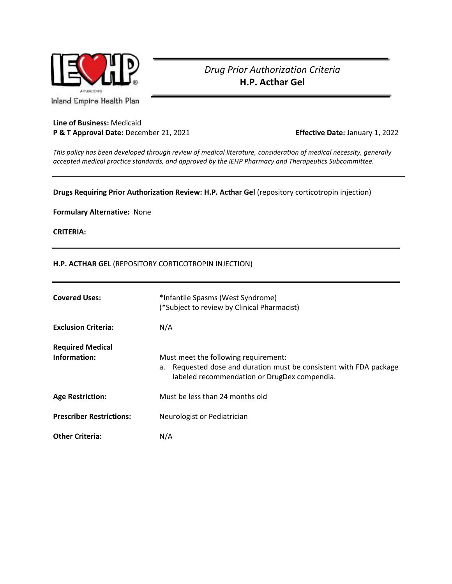

## *Drug Prior Authorization Criteria* **H.P. Acthar Gel**

Inland Empire Health Plan

## **Line of Business:** Medicaid **P & T Approval Date:** December 21, 2021 **Effective Date:** January 1, 2022

*This policy has been developed through review of medical literature, consideration of medical necessity, generally accepted medical practice standards, and approved by the IEHP Pharmacy and Therapeutics Subcommittee.*

## **Drugs Requiring Prior Authorization Review: H.P. Acthar Gel** (repository corticotropin injection)

**Formulary Alternative:** None

**CRITERIA:**

## **H.P. ACTHAR GEL** (REPOSITORY CORTICOTROPIN INJECTION)

| <b>Covered Uses:</b>                    | *Infantile Spasms (West Syndrome)<br>(*Subject to review by Clinical Pharmacist)                                                                           |
|-----------------------------------------|------------------------------------------------------------------------------------------------------------------------------------------------------------|
| <b>Exclusion Criteria:</b>              | N/A                                                                                                                                                        |
| <b>Required Medical</b><br>Information: | Must meet the following requirement:<br>a. Requested dose and duration must be consistent with FDA package<br>labeled recommendation or DrugDex compendia. |
| <b>Age Restriction:</b>                 | Must be less than 24 months old                                                                                                                            |
| <b>Prescriber Restrictions:</b>         | Neurologist or Pediatrician                                                                                                                                |
| <b>Other Criteria:</b>                  | N/A                                                                                                                                                        |